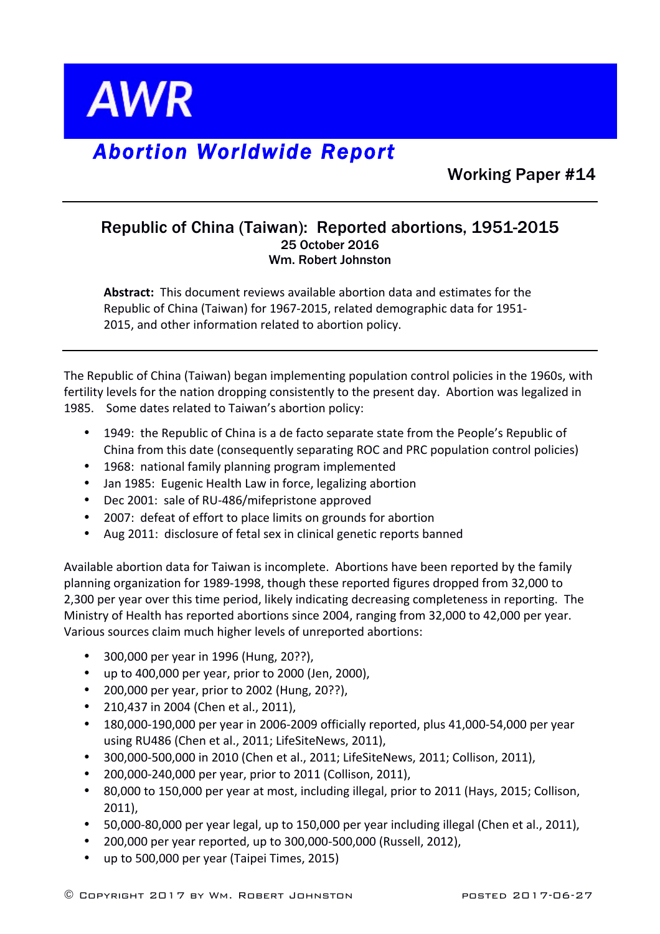

## *Abortion Worldwide Report*

Working Paper #14

## Republic of China (Taiwan): Reported abortions, 1951-2015 25 October 2016 Wm. Robert Johnston

**Abstract:** This document reviews available abortion data and estimates for the Republic of China (Taiwan) for 1967-2015, related demographic data for 1951-2015, and other information related to abortion policy.

The Republic of China (Taiwan) began implementing population control policies in the 1960s, with fertility levels for the nation dropping consistently to the present day. Abortion was legalized in 1985. Some dates related to Taiwan's abortion policy:

- 1949: the Republic of China is a de facto separate state from the People's Republic of China from this date (consequently separating ROC and PRC population control policies)
- 1968: national family planning program implemented
- Jan 1985: Eugenic Health Law in force, legalizing abortion
- Dec 2001: sale of RU-486/mifepristone approved
- 2007: defeat of effort to place limits on grounds for abortion
- Aug 2011: disclosure of fetal sex in clinical genetic reports banned

Available abortion data for Taiwan is incomplete. Abortions have been reported by the family planning organization for 1989-1998, though these reported figures dropped from 32,000 to 2,300 per year over this time period, likely indicating decreasing completeness in reporting. The Ministry of Health has reported abortions since 2004, ranging from 32,000 to 42,000 per year. Various sources claim much higher levels of unreported abortions:

- 300,000 per year in 1996 (Hung, 20??),
- up to 400,000 per year, prior to 2000 (Jen, 2000),
- 200,000 per year, prior to 2002 (Hung, 20??),
- 210,437 in 2004 (Chen et al., 2011),
- 180,000-190,000 per year in 2006-2009 officially reported, plus 41,000-54,000 per year using RU486 (Chen et al., 2011; LifeSiteNews, 2011),
- 300,000-500,000 in 2010 (Chen et al., 2011; LifeSiteNews, 2011; Collison, 2011),
- 200,000-240,000 per year, prior to 2011 (Collison, 2011),
- 80,000 to 150,000 per year at most, including illegal, prior to 2011 (Hays, 2015; Collison, 2011),
- 50,000-80,000 per year legal, up to 150,000 per year including illegal (Chen et al., 2011),
- 200,000 per year reported, up to 300,000-500,000 (Russell, 2012),
- up to 500,000 per year (Taipei Times, 2015)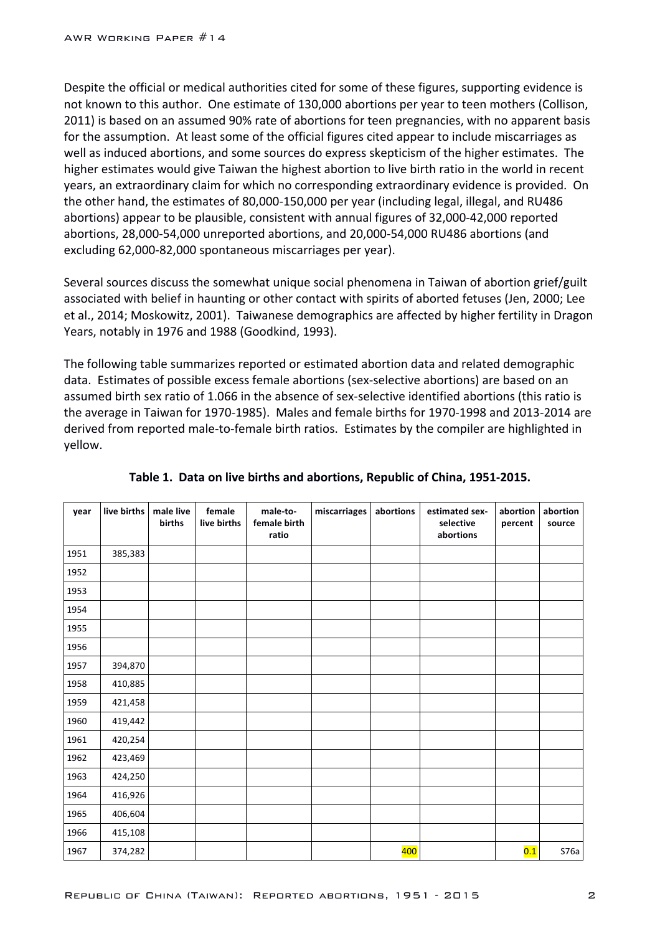Despite the official or medical authorities cited for some of these figures, supporting evidence is not known to this author. One estimate of 130,000 abortions per year to teen mothers (Collison, 2011) is based on an assumed 90% rate of abortions for teen pregnancies, with no apparent basis for the assumption. At least some of the official figures cited appear to include miscarriages as well as induced abortions, and some sources do express skepticism of the higher estimates. The higher estimates would give Taiwan the highest abortion to live birth ratio in the world in recent years, an extraordinary claim for which no corresponding extraordinary evidence is provided. On the other hand, the estimates of 80,000-150,000 per year (including legal, illegal, and RU486 abortions) appear to be plausible, consistent with annual figures of 32,000-42,000 reported abortions, 28,000-54,000 unreported abortions, and 20,000-54,000 RU486 abortions (and excluding 62,000-82,000 spontaneous miscarriages per year).

Several sources discuss the somewhat unique social phenomena in Taiwan of abortion grief/guilt associated with belief in haunting or other contact with spirits of aborted fetuses (Jen, 2000; Lee et al., 2014; Moskowitz, 2001). Taiwanese demographics are affected by higher fertility in Dragon Years, notably in 1976 and 1988 (Goodkind, 1993).

The following table summarizes reported or estimated abortion data and related demographic data. Estimates of possible excess female abortions (sex-selective abortions) are based on an assumed birth sex ratio of 1.066 in the absence of sex-selective identified abortions (this ratio is the average in Taiwan for 1970-1985). Males and female births for 1970-1998 and 2013-2014 are derived from reported male-to-female birth ratios. Estimates by the compiler are highlighted in yellow.

| year | live births | male live<br>births | female<br>live births | male-to-<br>female birth<br>ratio | miscarriages | abortions | estimated sex-<br>selective<br>abortions | abortion<br>percent | abortion<br>source |
|------|-------------|---------------------|-----------------------|-----------------------------------|--------------|-----------|------------------------------------------|---------------------|--------------------|
| 1951 | 385,383     |                     |                       |                                   |              |           |                                          |                     |                    |
| 1952 |             |                     |                       |                                   |              |           |                                          |                     |                    |
| 1953 |             |                     |                       |                                   |              |           |                                          |                     |                    |
| 1954 |             |                     |                       |                                   |              |           |                                          |                     |                    |
| 1955 |             |                     |                       |                                   |              |           |                                          |                     |                    |
| 1956 |             |                     |                       |                                   |              |           |                                          |                     |                    |
| 1957 | 394,870     |                     |                       |                                   |              |           |                                          |                     |                    |
| 1958 | 410,885     |                     |                       |                                   |              |           |                                          |                     |                    |
| 1959 | 421,458     |                     |                       |                                   |              |           |                                          |                     |                    |
| 1960 | 419,442     |                     |                       |                                   |              |           |                                          |                     |                    |
| 1961 | 420,254     |                     |                       |                                   |              |           |                                          |                     |                    |
| 1962 | 423,469     |                     |                       |                                   |              |           |                                          |                     |                    |
| 1963 | 424,250     |                     |                       |                                   |              |           |                                          |                     |                    |
| 1964 | 416,926     |                     |                       |                                   |              |           |                                          |                     |                    |
| 1965 | 406,604     |                     |                       |                                   |              |           |                                          |                     |                    |
| 1966 | 415,108     |                     |                       |                                   |              |           |                                          |                     |                    |
| 1967 | 374,282     |                     |                       |                                   |              | 400       |                                          | 0.1                 | S76a               |

## Table 1. Data on live births and abortions, Republic of China, 1951-2015.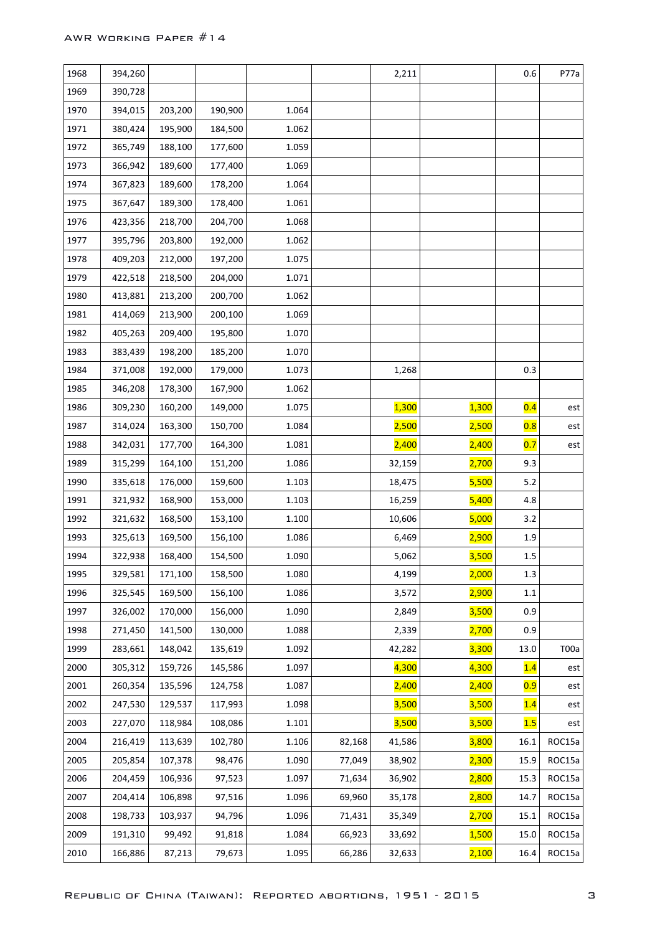| 1968 | 394,260 |         |         |       |        | 2,211        |              | 0.6     | P77a   |
|------|---------|---------|---------|-------|--------|--------------|--------------|---------|--------|
| 1969 | 390,728 |         |         |       |        |              |              |         |        |
| 1970 | 394,015 | 203,200 | 190,900 | 1.064 |        |              |              |         |        |
| 1971 | 380,424 | 195,900 | 184,500 | 1.062 |        |              |              |         |        |
| 1972 | 365,749 | 188,100 | 177,600 | 1.059 |        |              |              |         |        |
| 1973 | 366,942 | 189,600 | 177,400 | 1.069 |        |              |              |         |        |
| 1974 | 367,823 | 189,600 | 178,200 | 1.064 |        |              |              |         |        |
| 1975 | 367,647 | 189,300 | 178,400 | 1.061 |        |              |              |         |        |
| 1976 | 423,356 | 218,700 | 204,700 | 1.068 |        |              |              |         |        |
| 1977 | 395,796 | 203,800 | 192,000 | 1.062 |        |              |              |         |        |
| 1978 | 409,203 | 212,000 | 197,200 | 1.075 |        |              |              |         |        |
| 1979 | 422,518 | 218,500 | 204,000 | 1.071 |        |              |              |         |        |
| 1980 | 413,881 | 213,200 | 200,700 | 1.062 |        |              |              |         |        |
| 1981 | 414,069 | 213,900 | 200,100 | 1.069 |        |              |              |         |        |
| 1982 | 405,263 | 209,400 | 195,800 | 1.070 |        |              |              |         |        |
| 1983 | 383,439 | 198,200 | 185,200 | 1.070 |        |              |              |         |        |
| 1984 | 371,008 | 192,000 | 179,000 | 1.073 |        | 1,268        |              | 0.3     |        |
| 1985 | 346,208 | 178,300 | 167,900 | 1.062 |        |              |              |         |        |
| 1986 | 309,230 | 160,200 | 149,000 | 1.075 |        | <b>1,300</b> | <b>1,300</b> | 0.4     | est    |
| 1987 | 314,024 | 163,300 | 150,700 | 1.084 |        | 2,500        | 2,500        | 0.8     | est    |
| 1988 | 342,031 | 177,700 | 164,300 | 1.081 |        | <b>2,400</b> | <b>2,400</b> | 0.7     | est    |
| 1989 | 315,299 | 164,100 | 151,200 | 1.086 |        | 32,159       | <b>2,700</b> | 9.3     |        |
| 1990 | 335,618 | 176,000 | 159,600 | 1.103 |        | 18,475       | 5,500        | 5.2     |        |
| 1991 | 321,932 | 168,900 | 153,000 | 1.103 |        | 16,259       | 5,400        | 4.8     |        |
| 1992 | 321,632 | 168,500 | 153,100 | 1.100 |        | 10,606       | 5,000        | 3.2     |        |
| 1993 | 325,613 | 169,500 | 156,100 | 1.086 |        | 6,469        | <b>2,900</b> | 1.9     |        |
| 1994 | 322,938 | 168,400 | 154,500 | 1.090 |        | 5,062        | 3,500        | 1.5     |        |
| 1995 | 329,581 | 171,100 | 158,500 | 1.080 |        | 4,199        | 2,000        | 1.3     |        |
| 1996 | 325,545 | 169,500 | 156,100 | 1.086 |        | 3,572        | 2,900        | $1.1\,$ |        |
| 1997 | 326,002 | 170,000 | 156,000 | 1.090 |        | 2,849        | 3,500        | 0.9     |        |
| 1998 | 271,450 | 141,500 | 130,000 | 1.088 |        | 2,339        | 2,700        | 0.9     |        |
| 1999 | 283,661 | 148,042 | 135,619 | 1.092 |        | 42,282       | 3,300        | 13.0    | T00a   |
| 2000 | 305,312 | 159,726 | 145,586 | 1.097 |        | 4,300        | 4,300        | 1.4     | est    |
| 2001 | 260,354 | 135,596 | 124,758 | 1.087 |        | 2,400        | 2,400        | 0.9     | est    |
| 2002 | 247,530 | 129,537 | 117,993 | 1.098 |        | 3,500        | 3,500        | 1.4     | est    |
| 2003 | 227,070 | 118,984 | 108,086 | 1.101 |        | 3,500        | 3,500        | 1.5     | est    |
| 2004 | 216,419 | 113,639 | 102,780 | 1.106 | 82,168 | 41,586       | 3,800        | 16.1    | ROC15a |
| 2005 | 205,854 | 107,378 | 98,476  | 1.090 | 77,049 | 38,902       | 2,300        | 15.9    | ROC15a |
| 2006 | 204,459 | 106,936 | 97,523  | 1.097 | 71,634 | 36,902       | 2,800        | 15.3    | ROC15a |
| 2007 | 204,414 | 106,898 | 97,516  | 1.096 | 69,960 | 35,178       | 2,800        | 14.7    | ROC15a |
| 2008 | 198,733 | 103,937 | 94,796  | 1.096 | 71,431 | 35,349       | 2,700        | 15.1    | ROC15a |
| 2009 | 191,310 | 99,492  | 91,818  | 1.084 | 66,923 | 33,692       | 1,500        | 15.0    | ROC15a |
| 2010 | 166,886 | 87,213  | 79,673  | 1.095 | 66,286 | 32,633       | 2,100        | 16.4    | ROC15a |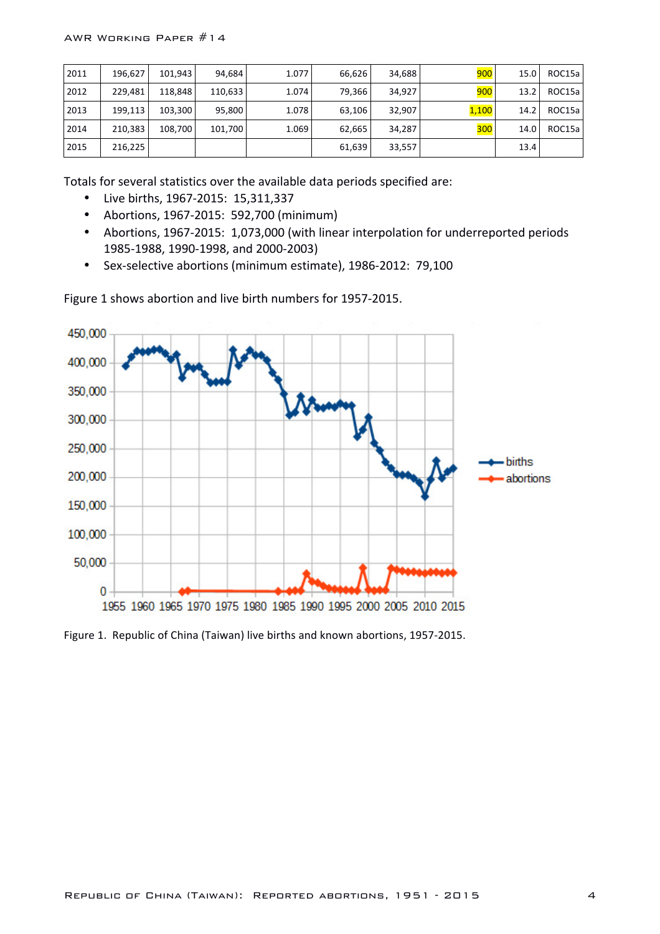| 2011 | 196.627 | 101.943 | 94.684  | 1.077 | 66,626 | 34.688 | 900   | 15.0 | ROC15a |
|------|---------|---------|---------|-------|--------|--------|-------|------|--------|
| 2012 | 229.481 | 118.848 | 110.633 | 1.074 | 79,366 | 34.927 | 900   | 13.2 | ROC15a |
| 2013 | 199.113 | 103,300 | 95,800  | 1.078 | 63,106 | 32,907 | 1,100 | 14.2 | ROC15a |
| 2014 | 210,383 | 108.700 | 101.700 | 1.069 | 62,665 | 34.287 | 300   | 14.0 | ROC15a |
| 2015 | 216,225 |         |         |       | 61,639 | 33,557 |       | 13.4 |        |

Totals for several statistics over the available data periods specified are:

- Live births, 1967-2015: 15,311,337
- Abortions, 1967-2015: 592,700 (minimum)
- Abortions, 1967-2015: 1,073,000 (with linear interpolation for underreported periods 1985-1988, 1990-1998, and 2000-2003)
- Sex-selective abortions (minimum estimate), 1986-2012: 79,100



Figure 1 shows abortion and live birth numbers for 1957-2015.

Figure 1. Republic of China (Taiwan) live births and known abortions, 1957-2015.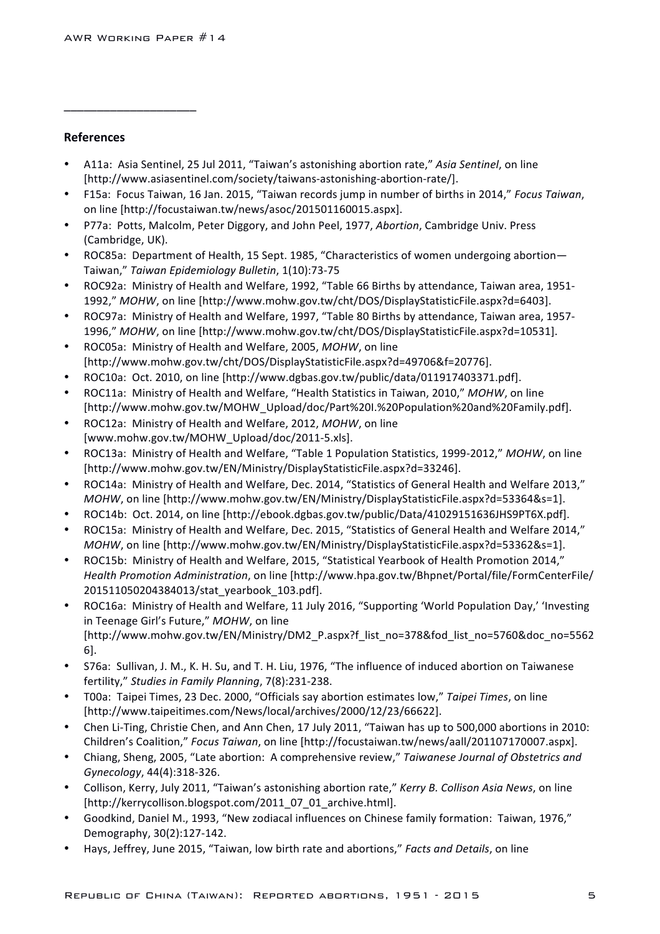\_\_\_\_\_\_\_\_\_\_\_\_\_\_\_\_\_\_\_\_

## **References**

- A11a: Asia Sentinel, 25 Jul 2011, "Taiwan's astonishing abortion rate," Asia Sentinel, on line [http://www.asiasentinel.com/society/taiwans-astonishing-abortion-rate/].
- F15a: Focus Taiwan, 16 Jan. 2015, "Taiwan records jump in number of births in 2014," *Focus Taiwan*, on line [http://focustaiwan.tw/news/asoc/201501160015.aspx].
- P77a: Potts, Malcolm, Peter Diggory, and John Peel, 1977, *Abortion*, Cambridge Univ. Press (Cambridge, UK).
- ROC85a: Department of Health, 15 Sept. 1985, "Characteristics of women undergoing abortion-Taiwan," *Taiwan Epidemiology Bulletin*, 1(10):73-75
- ROC92a: Ministry of Health and Welfare, 1992, "Table 66 Births by attendance, Taiwan area, 1951-1992," *MOHW*, on line [http://www.mohw.gov.tw/cht/DOS/DisplayStatisticFile.aspx?d=6403].
- ROC97a: Ministry of Health and Welfare, 1997, "Table 80 Births by attendance, Taiwan area, 1957-1996," *MOHW*, on line [http://www.mohw.gov.tw/cht/DOS/DisplayStatisticFile.aspx?d=10531].
- ROC05a: Ministry of Health and Welfare, 2005, *MOHW*, on line [http://www.mohw.gov.tw/cht/DOS/DisplayStatisticFile.aspx?d=49706&f=20776].
- ROC10a: Oct. 2010, on line [http://www.dgbas.gov.tw/public/data/011917403371.pdf].
- ROC11a: Ministry of Health and Welfare, "Health Statistics in Taiwan, 2010," MOHW, on line [http://www.mohw.gov.tw/MOHW\_Upload/doc/Part%20I.%20Population%20and%20Family.pdf].
- ROC12a: Ministry of Health and Welfare, 2012, *MOHW*, on line [www.mohw.gov.tw/MOHW\_Upload/doc/2011-5.xls].
- ROC13a: Ministry of Health and Welfare, "Table 1 Population Statistics, 1999-2012," *MOHW*, on line [http://www.mohw.gov.tw/EN/Ministry/DisplayStatisticFile.aspx?d=33246].
- ROC14a: Ministry of Health and Welfare, Dec. 2014, "Statistics of General Health and Welfare 2013," *MOHW*, on line [http://www.mohw.gov.tw/EN/Ministry/DisplayStatisticFile.aspx?d=53364&s=1].
- ROC14b: Oct. 2014, on line [http://ebook.dgbas.gov.tw/public/Data/41029151636JHS9PT6X.pdf].
- ROC15a: Ministry of Health and Welfare, Dec. 2015, "Statistics of General Health and Welfare 2014," *MOHW*, on line [http://www.mohw.gov.tw/EN/Ministry/DisplayStatisticFile.aspx?d=53362&s=1].
- ROC15b: Ministry of Health and Welfare, 2015, "Statistical Yearbook of Health Promotion 2014," *Health Promotion Administration*, on line [http://www.hpa.gov.tw/Bhpnet/Portal/file/FormCenterFile/ 201511050204384013/stat\_yearbook\_103.pdf].
- ROC16a: Ministry of Health and Welfare, 11 July 2016, "Supporting 'World Population Day,' 'Investing in Teenage Girl's Future," MOHW, on line [http://www.mohw.gov.tw/EN/Ministry/DM2\_P.aspx?f\_list\_no=378&fod\_list\_no=5760&doc\_no=5562 6].
- S76a: Sullivan, J. M., K. H. Su, and T. H. Liu, 1976, "The influence of induced abortion on Taiwanese fertility," *Studies in Family Planning*, 7(8):231-238.
- T00a: Taipei Times, 23 Dec. 2000, "Officials say abortion estimates low," Taipei Times, on line [http://www.taipeitimes.com/News/local/archives/2000/12/23/66622].
- Chen Li-Ting, Christie Chen, and Ann Chen, 17 July 2011, "Taiwan has up to 500,000 abortions in 2010: Children's Coalition," Focus Taiwan, on line [http://focustaiwan.tw/news/aall/201107170007.aspx].
- Chiang, Sheng, 2005, "Late abortion: A comprehensive review," Taiwanese Journal of Obstetrics and *Gynecology*, 44(4):318-326.
- Collison, Kerry, July 2011, "Taiwan's astonishing abortion rate," *Kerry B. Collison Asia News*, on line [http://kerrycollison.blogspot.com/2011\_07\_01\_archive.html].
- Goodkind, Daniel M., 1993, "New zodiacal influences on Chinese family formation: Taiwan, 1976," Demography, 30(2):127-142.
- Hays, Jeffrey, June 2015, "Taiwan, low birth rate and abortions," *Facts and Details*, on line